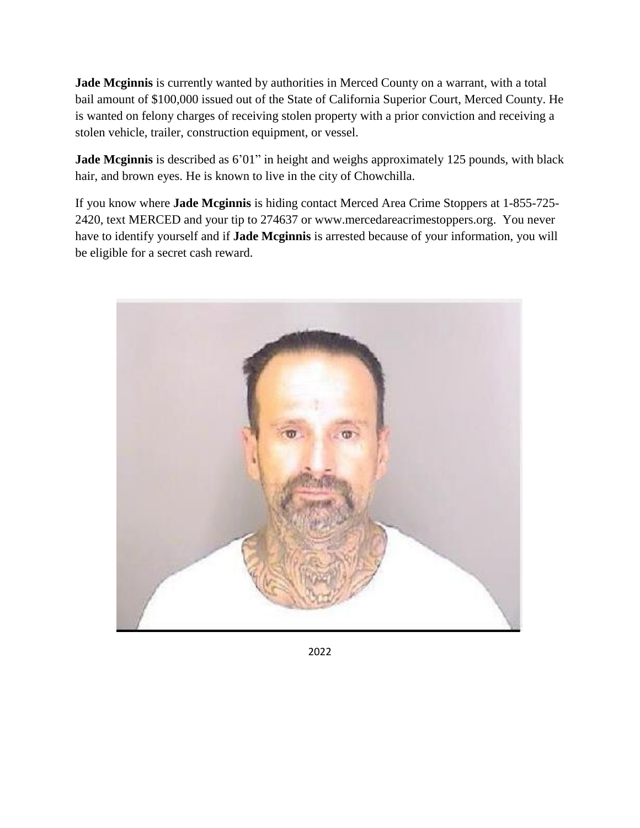**Jade Mcginnis** is currently wanted by authorities in Merced County on a warrant, with a total bail amount of \$100,000 issued out of the State of California Superior Court, Merced County. He is wanted on felony charges of receiving stolen property with a prior conviction and receiving a stolen vehicle, trailer, construction equipment, or vessel.

**Jade Mcginnis** is described as 6'01" in height and weighs approximately 125 pounds, with black hair, and brown eyes. He is known to live in the city of Chowchilla.

If you know where **Jade Mcginnis** is hiding contact Merced Area Crime Stoppers at 1-855-725- 2420, text MERCED and your tip to 274637 or www.mercedareacrimestoppers.org. You never have to identify yourself and if **Jade Mcginnis** is arrested because of your information, you will be eligible for a secret cash reward.



2022